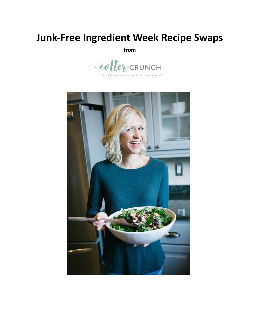# **Junk-Free Ingredient Week Recipe Swaps**

**from**



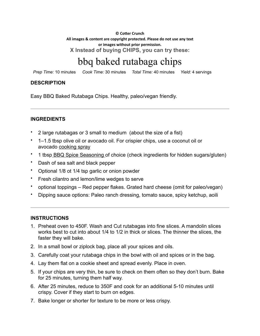$©$  Cotter Crunch All images & content are copyright protected. Please do not use any text or images without prior permission. **X Instead of buying CHIPS, you can try these:**

# bbq baked rutabaga chips

*Prep Time:* 10 minutes *Cook Time:* 30 minutes *Total Time:* 40 minutes *Yield:* 4 servings

#### **DESCRIPTION**

Easy BBQ Baked Rutabaga Chips. Healthy, paleo/vegan friendly.

#### **INGREDIENTS**

- 2 large rutabagas or 3 small to medium (about the size of a fist)
- 1–1.5 tbsp olive oil or avocado oil. For crispier chips, use a coconut oil or avocado cooking spray
- 1 tbsp BBQ Spice Seasoning of choice (check ingredients for hidden sugars/gluten)
- Dash of sea salt and black pepper
- Optional 1/8 ot 1/4 tsp garlic or onion powder
- Fresh cilantro and lemon/lime wedges to serve
- optional toppings Red pepper flakes. Grated hard cheese (omit for paleo/vegan)
- Dipping sauce options: Paleo ranch dressing, tomato sauce, spicy ketchup, aoili

- 1. Preheat oven to 450F. Wash and Cut rutabagas into fine slices. A mandolin slices works best to cut into about 1/4 to 1/2 in thick or slices. The thinner the slices, the faster they will bake.
- 2. In a small bowl or ziplock bag, place all your spices and oils.
- 3. Carefully coat your rutabaga chips in the bowl with oil and spices or in the bag.
- 4. Lay them flat on a cookie sheet and spread evenly. Place in oven.
- 5. If your chips are very thin, be sure to check on them often so they don't burn. Bake for 25 minutes, turning them half way.
- 6. After 25 minutes, reduce to 350F and cook for an additional 5-10 minutes until crispy. Cover if they start to burn on edges.
- 7. Bake longer or shorter for texture to be more or less crispy.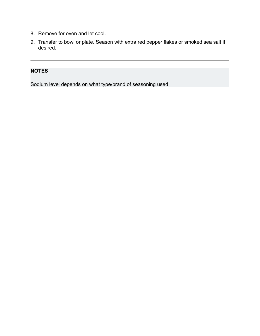- 8. Remove for oven and let cool.
- 9. Transfer to bowl or plate. Season with extra red pepper flakes or smoked sea salt if desired.

Sodium level depends on what type/brand of seasoning used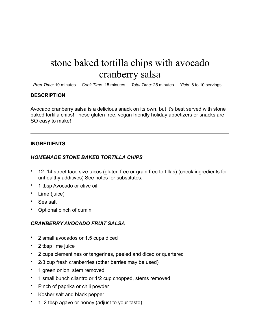# stone baked tortilla chips with avocado cranberry salsa

*Prep Time:* 10 minutes *Cook Time:* 15 minutes *Total Time:* 25 minutes *Yield:* 8 to 10 servings

#### **DESCRIPTION**

Avocado cranberry salsa is a delicious snack on its own, but it's best served with stone baked tortilla chips! These gluten free, vegan friendly holiday appetizers or snacks are SO easy to make!

#### **INGREDIENTS**

#### *HOMEMADE STONE BAKED TORTILLA CHIPS*

- 12–14 street taco size tacos (gluten free or grain free tortillas) (check ingredients for unhealthy additives) See notes for substitutes.
- 1 tbsp Avocado or olive oil
- Lime (juice)
- Sea salt
- Optional pinch of cumin

#### *CRANBERRY AVOCADO FRUIT SALSA*

- 2 small avocados or 1.5 cups diced
- 2 tbsp lime juice
- 2 cups clementines or tangerines, peeled and diced or quartered
- 2/3 cup fresh cranberries (other berries may be used)
- 1 green onion, stem removed
- 1 small bunch cilantro or 1/2 cup chopped, stems removed
- Pinch of paprika or chili powder
- Kosher salt and black pepper
- 1–2 tbsp agave or honey (adjust to your taste)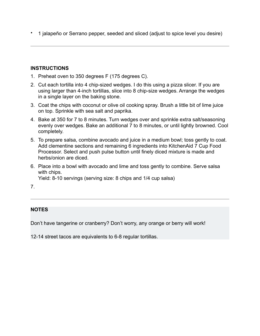• 1 jalapeño or Serrano pepper, seeded and sliced (adjust to spice level you desire)

### **INSTRUCTIONS**

- 1. Preheat oven to 350 degrees F (175 degrees C).
- 2. Cut each tortilla into 4 chip-sized wedges. I do this using a pizza slicer. If you are using larger than 4-inch tortillas, slice into 8 chip-size wedges. Arrange the wedges in a single layer on the baking stone.
- 3. Coat the chips with coconut or olive oil cooking spray. Brush a little bit of lime juice on top. Sprinkle with sea salt and paprika.
- 4. Bake at 350 for 7 to 8 minutes. Turn wedges over and sprinkle extra salt/seasoning evenly over wedges. Bake an additional  $\overline{7}$  to 8 minutes, or until lightly browned. Cool completely.
- 5. To prepare salsa, combine avocado and juice in a medium bowl; toss gently to coat. Add clementine sections and remaining 6 ingredients into KitchenAid 7 Cup Food Processor. Select and push pulse button until finely diced mixture is made and herbs/onion are diced.
- 6. Place into a bowl with avocado and lime and toss gently to combine. Serve salsa with chips.

Yield: 8-10 servings (serving size: 8 chips and 1/4 cup salsa)

7.

### **NOTES**

Don't have tangerine or cranberry? Don't worry, any orange or berry will work!

12-14 street tacos are equivalents to 6-8 regular tortillas.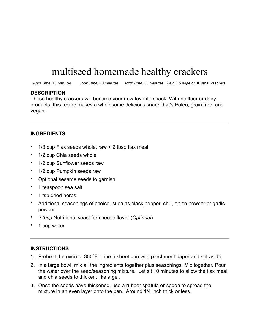# multiseed homemade healthy crackers

*Prep Time:* 15 minutes *Cook Time:* 40 minutes *Total Time:* 55 minutes *Yield:* 15 large or 30 small crackers

#### **DESCRIPTION**

These healthy crackers will become your new favorite snack! With no flour or dairy products, this recipe makes a wholesome delicious snack that's Paleo, grain free, and vegan!

#### **INGREDIENTS**

- $\cdot$  1/3 cup Flax seeds whole, raw  $+$  2 tbsp flax meal
- 1/2 cup Chia seeds whole
- 1/2 cup Sunflower seeds raw
- 1/2 cup Pumpkin seeds raw
- Optional sesame seeds to garnish
- 1 teaspoon sea salt
- 1 tsp dried herbs
- Additional seasonings of choice. such as black pepper, chili, onion powder or garlic powder
- *2 tbsp* Nutritional yeast for cheese flavor (*Optional*)
- 1 cup water

- 1. Preheat the oven to 350°F. Line a sheet pan with parchment paper and set aside.
- 2. In a large bowl, mix all the ingredients together plus seasonings. Mix together. Pour the water over the seed/seasoning mixture. Let sit 10 minutes to allow the flax meal and chia seeds to thicken, like a gel.
- 3. Once the seeds have thickened, use a rubber spatula or spoon to spread the mixture in an even layer onto the pan. Around 1/4 inch thick or less.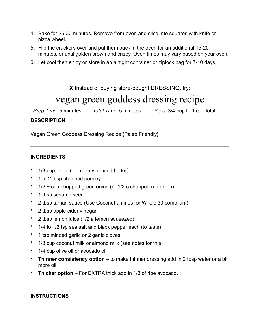- 4. Bake for 25-30 minutes. Remove from oven and slice into squares with knife or pizza wheel.
- 5. Flip the crackers over and put them back in the oven for an additional 15-20 minutes, or until golden brown and crispy. Oven times may vary based on your oven.
- 6. Let cool then enjoy or store in an airtight container or ziplock bag for 7-10 days.

**X** Instead of buying store-bought DRESSING, try:

## vegan green goddess dressing recipe

*Prep Time:* 5 minutes *Total Time:* 5 minutes *Yield:* 3/4 cup to 1 cup total

#### **DESCRIPTION**

Vegan Green Goddess Dressing Recipe {Paleo Friendly}

#### **INGREDIENTS**

- 1/3 cup tahini (or creamy almond butter)
- 1 to 2 tbsp chopped parsley
- $1/2$  + cup chopped green onion (or  $1/2$  c chopped red onion)
- 1 tbsp sesame seed
- 2 tbsp tamari sauce (Use Coconut aminos for Whole 30 compliant)
- 2 tbsp apple cider vinegar
- 2 tbsp lemon juice (1/2 a lemon squeezed)
- 1/4 to 1/2 tsp sea salt and black pepper each (to taste)
- 1 tsp minced garlic or 2 garlic cloves
- 1/3 cup coconut milk or almond milk (see notes for this)
- 1/4 cup olive oil or avocado oil
- **Thinner consistency option** to make thinner dressing add in 2 tbsp water or a bit more oil.
- **Thicker option** For EXTRA thick add in 1/3 of ripe avocado.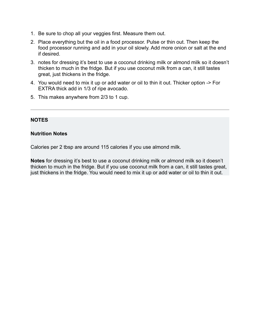- 1. Be sure to chop all your veggies first. Measure them out.
- 2. Place everything but the oil in a food processor. Pulse or thin out. Then keep the food processor running and add in your oil slowly. Add more onion or salt at the end if desired.
- 3. notes for dressing it's best to use a coconut drinking milk or almond milk so it doesn't thicken to much in the fridge. But if you use coconut milk from a can, it still tastes great, just thickens in the fridge.
- 4. You would need to mix it up or add water or oil to thin it out. Thicker option -> For EXTRA thick add in 1/3 of ripe avocado.
- 5. This makes anywhere from 2/3 to 1 cup.

#### **Nutrition Notes**

Calories per 2 tbsp are around 115 calories if you use almond milk.

**Notes** for dressing it's best to use a coconut drinking milk or almond milk so it doesn't thicken to much in the fridge. But if you use coconut milk from a can, it still tastes great, just thickens in the fridge. You would need to mix it up or add water or oil to thin it out.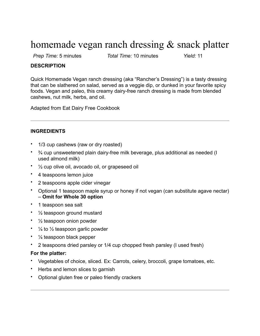## homemade vegan ranch dressing & snack platter

*Prep Time:* 5 minutes *Total Time:* 10 minutes *Yield:* 11

#### **DESCRIPTION**

Quick Homemade Vegan ranch dressing (aka "Rancher's Dressing") is a tasty dressing that can be slathered on salad, served as a veggie dip, or dunked in your favorite spicy foods. Vegan and paleo, this creamy dairy-free ranch dressing is made from blended cashews, nut milk, herbs, and oil.

Adapted from Eat Dairy Free Cookbook

#### **INGREDIENTS**

- 1/3 cup cashews (raw or dry roasted)
- ¾ cup unsweetened plain dairy-free milk beverage, plus additional as needed (I used almond milk)
- ½ cup olive oil, avocado oil, or grapeseed oil
- 4 teaspoons lemon juice
- 2 teaspoons apple cider vinegar
- Optional 1 teaspoon maple syrup or honey if not vegan (can substitute agave nectar) – **Omit for Whole 30 option**
- 1 teaspoon sea salt
- $\frac{1}{2}$  teaspoon ground mustard
- 1/2 teaspoon onion powder
- $\frac{1}{4}$  to  $\frac{1}{2}$  teaspoon garlic powder
- $\frac{1}{4}$  teaspoon black pepper
- 2 teaspoons dried parsley or 1/4 cup chopped fresh parsley (I used fresh)

#### **For the platter:**

- Vegetables of choice, sliced. Ex: Carrots, celery, broccoli, grape tomatoes, etc.
- Herbs and lemon slices to garnish
- Optional gluten free or paleo friendly crackers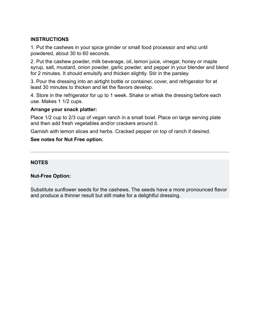#### **INSTRUCTIONS**

1. Put the cashews in your spice grinder or small food processor and whiz until powdered, about 30 to 60 seconds.

2. Put the cashew powder, milk beverage, oil, lemon juice, vinegar, honey or maple syrup, salt, mustard, onion powder, garlic powder, and pepper in your blender and blend for 2 minutes. It should emulsify and thicken slightly. Stir in the parsley.

3. Pour the dressing into an airtight bottle or container, cover, and refrigerator for at least 30 minutes to thicken and let the flavors develop.

4. Store in the refrigerator for up to 1 week. Shake or whisk the dressing before each use. Makes 1 1/2 cups.

#### **Arrange your snack platter:**

Place 1/2 cup to 2/3 cup of vegan ranch in a small bowl. Place on large serving plate and then add fresh vegetables and/or crackers around it.

Garnish with lemon slices and herbs. Cracked pepper on top of ranch if desired.

#### **See notes for Nut Free option.**

#### **NOTES**

#### **Nut-Free Option:**

Substitute sunflower seeds for the cashews. The seeds have a more pronounced flavor and produce a thinner result but still make for a delightful dressing.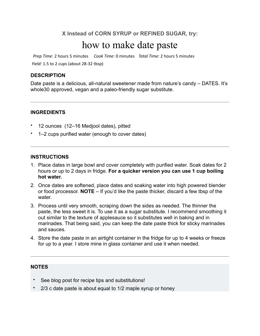### **X Instead of CORN SYRUP or REFINED SUGAR, try:**

## how to make date paste

*Prep Time:* 2 hours 5 minutes *Cook Time:* 0 minutes *Total Time:* 2 hours 5 minutes *Yield:* 1.5 to 2 cups (about 28-32 tbsp)

#### **DESCRIPTION**

Date paste is a delicious, all-natural sweetener made from nature's candy – DATES. It's whole30 approved, vegan and a paleo-friendly sugar substitute.

#### **INGREDIENTS**

- 12 ounces (12–16 Medjool dates), pitted
- 1–2 cups purified water (enough to cover dates)

#### **INSTRUCTIONS**

- 1. Place dates in large bowl and cover completely with purified water. Soak dates for 2 hours or up to 2 days in fridge. **For a quicker version you can use 1 cup boiling hot water.**
- 2. Once dates are softened, place dates and soaking water into high powered blender or food processor. **NOTE** – If you'd like the paste thicker, discard a few tbsp of the water.
- 3. Process until very smooth, scraping down the sides as needed. The thinner the paste, the less sweet it is. To use it as a sugar substitute. I recommend smoothing it out similar to the texture of applesauce so it substitutes well in baking and in marinades. That being said, you can keep the date paste thick for sticky marinades and sauces.
- 4. Store the date paste in an airtight container in the fridge for up to 4 weeks or freeze for up to a year. I store mine in glass container and use it when needed.

#### **NOTES**

- See blog post for recipe tips and substitutions!
- 2/3 c date paste is about equal to 1/2 maple syrup or honey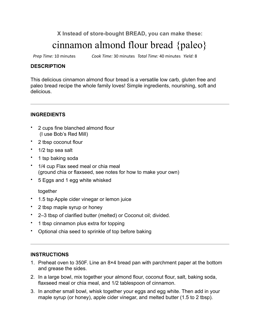**X Instead of store-bought BREAD, you can make these:**

# cinnamon almond flour bread {paleo}

*Prep Time:* 10 minutes *Cook Time:* 30 minutes *Total Time:* 40 minutes *Yield:* 8 

#### **DESCRIPTION**

This delicious cinnamon almond flour bread is a versatile low carb, gluten free and paleo bread recipe the whole family loves! Simple ingredients, nourishing, soft and delicious.

#### **INGREDIENTS**

- 2 cups fine blanched almond flour (I use Bob's Red Mill)
- 2 tbsp coconut flour
- 1/2 tsp sea salt
- 1 tsp baking soda
- 1/4 cup Flax seed meal or chia meal (ground chia or flaxseed, see notes for how to make your own)
- 5 Eggs and 1 egg white whisked

#### together

- 1.5 tsp Apple cider vinegar or lemon juice
- 2 tbsp maple syrup or honey
- 2–3 tbsp of clarified butter (melted) or Coconut oil; divided.
- 1 tbsp cinnamon plus extra for topping
- Optional chia seed to sprinkle of top before baking

- 1. Preheat oven to 350F. Line an 8×4 bread pan with parchment paper at the bottom and grease the sides.
- 2. In a large bowl, mix together your almond flour, coconut flour, salt, baking soda, flaxseed meal or chia meal, and 1/2 tablespoon of cinnamon.
- 3. In another small bowl, whisk together your eggs and egg white. Then add in your maple syrup (or honey), apple cider vinegar, and melted butter (1.5 to 2 tbsp).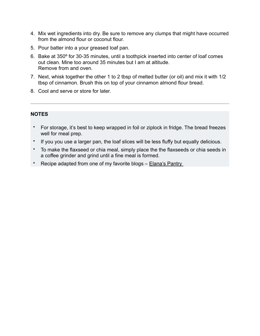- 4. Mix wet ingredients into dry. Be sure to remove any clumps that might have occurred from the almond flour or coconut flour.
- 5. Pour batter into a your greased loaf pan.
- 6. Bake at 350º for 30-35 minutes, until a toothpick inserted into center of loaf comes out clean. Mine too around 35 minutes but I am at altitude. Remove from and oven.
- 7. Next, whisk together the other 1 to 2 tbsp of melted butter (or oil) and mix it with 1/2 tbsp of cinnamon. Brush this on top of your cinnamon almond flour bread.
- 8. Cool and serve or store for later.

- For storage, it's best to keep wrapped in foil or ziplock in fridge. The bread freezes well for meal prep.
- If you you use a larger pan, the loaf slices will be less fluffy but equally delicious.
- To make the flaxseed or chia meal, simply place the the flaxseeds or chia seeds in a coffee grinder and grind until a fine meal is formed.
- Recipe adapted from one of my favorite blogs Elana's Pantry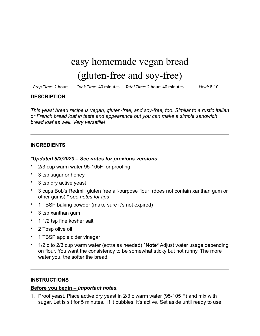# easy homemade vegan bread (gluten-free and soy-free)

*Prep Time:* 2 hours *Cook Time:* 40 minutes *Total Time:* 2 hours 40 minutes *Yield:* 8-10 

#### **DESCRIPTION**

*This yeast bread recipe is vegan, gluten-free, and soy-free, too. Similar to a rustic Italian or French bread loaf in taste and appearance but you can make a simple sandwich bread loaf as well. Very versatile!*

#### **INGREDIENTS**

#### *\*Updated 5/3/2020 – See notes for previous versions*

- 2/3 cup warm water 95-105F for proofing
- 3 tsp sugar or honey
- 3 tsp dry active yeast
- 3 cups Bob's Redmill gluten free all-purpose flour (does not contain xanthan gum or other gums) **\*** s*ee notes for tips*
- 1 TBSP baking powder (make sure it's not expired)
- 3 tsp xanthan gum
- 1 1/2 tsp fine kosher salt
- 2 Tbsp olive oil
- 1 TBSP apple cider vinegar
- 1/2 c to 2/3 cup warm water (extra as needed) \***Note**\* Adjust water usage depending on flour. You want the consistency to be somewhat sticky but not runny. The more water you, the softer the bread.

#### **INSTRUCTIONS**

#### **Before you begin –** *Important notes.*

1. Proof yeast. Place active dry yeast in 2/3 c warm water (95-105 F) and mix with sugar. Let is sit for 5 minutes. If it bubbles, it's active. Set aside until ready to use.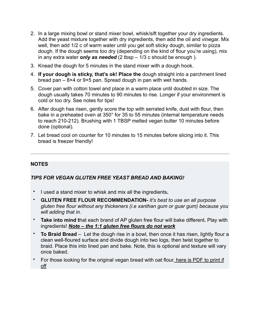- 2. In a large mixing bowl or stand mixer bowl, whisk/sift together your dry ingredients. Add the yeast mixture together with dry ingredients, then add the oil and vinegar. Mix well, then add 1/2 c of warm water until you get soft sticky dough, similar to pizza dough. If the dough seems too dry (depending on the kind of flour you're using), mix in any extra water *only as needed* (2 tbsp – 1/3 c should be enough ).
- 3. Knead the dough for 5 minutes in the stand mixer with a dough hook.
- 4. **If your dough is sticky, that's ok! Place the** dough straight into a parchment lined bread pan – 8×4 or 9×5 pan. Spread dough in pan with wet hands.
- 5. Cover pan with cotton towel and place in a warm place until doubled in size. The dough usually takes 70 minutes to 90 minutes to rise. Longer if your environment is cold or too dry. See notes for tips!
- 6. After dough has risen, gently score the top with serrated knife, dust with flour, then bake in a preheated oven at 350° for 35 to 55 minutes (internal temperature needs to reach 210-212). Brushing with 1 TBSP melted vegan butter 10 minutes before done (optional).
- 7. Let bread cool on counter for 10 minutes to 15 minutes before slicing into it. This bread is freezer friendly!

#### *TIPS FOR VEGAN GLUTEN FREE YEAST BREAD AND BAKING!*

- I used a stand mixer to whisk and mix all the ingredients**.**
- **GLUTEN FREE FLOUR RECOMMENDATION-** *It's best to use an all purpose gluten free flour without any thickeners (i.e xanthan gum or guar gum) because you will adding that in.*
- **Take into mind t**hat each brand of AP gluten free flour will bake different**.** Play with ingredients! *Note – the 1:1 gluten free flours do not work*
- **To Braid Bread** Let the dough rise in a bowl, then once it has risen, lightly flour a clean well-floured surface and divide dough into two logs, then twist together to braid. Place this into lined pan and bake. Note, this is optional and texture will vary once baked.
- For those looking for the original vegan bread with oat flour, here is PDF to print if off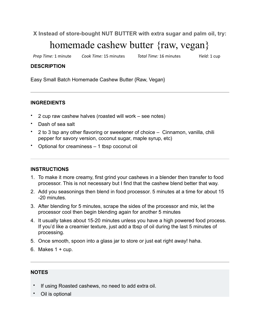**X Instead of store-bought NUT BUTTER with extra sugar and palm oil, try:**

# homemade cashew butter {raw, vegan}

*Prep Time:* 1 minute *Cook Time:* 15 minutes *Total Time:* 16 minutes *Yield:* 1 cup

#### **DESCRIPTION**

Easy Small Batch Homemade Cashew Butter {Raw, Vegan}

#### **INGREDIENTS**

- 2 cup raw cashew halves (roasted will work see notes)
- Dash of sea salt
- 2 to 3 tsp any other flavoring or sweetener of choice Cinnamon, vanilla, chili pepper for savory version, coconut sugar, maple syrup, etc)
- Optional for creaminess 1 tbsp coconut oil

#### **INSTRUCTIONS**

- 1. To make it more creamy, first grind your cashews in a blender then transfer to food processor. This is not necessary but I find that the cashew blend better that way.
- 2. Add you seasonings then blend in food processor. 5 minutes at a time for about 15 -20 minutes.
- 3. After blending for 5 minutes, scrape the sides of the processor and mix, let the processor cool then begin blending again for another 5 minutes
- 4. It usually takes about 15-20 minutes unless you have a high powered food process. If you'd like a creamier texture, just add a tbsp of oil during the last 5 minutes of processing.
- 5. Once smooth, spoon into a glass jar to store or just eat right away! haha.
- 6. Makes  $1 + cup$ .

#### **NOTES**

- If using Roasted cashews, no need to add extra oil.
- Oil is optional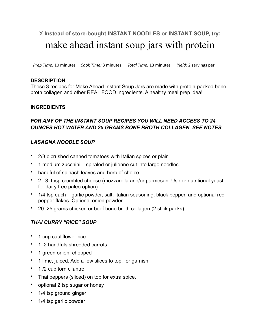## X **Instead of store-bought INSTANT NOODLES or INSTANT SOUP, try:** make ahead instant soup jars with protein

*Prep Time:* 10 minutes *Cook Time:* 3 minutes *Total Time:* 13 minutes *Yield:* 2 servings per

#### **DESCRIPTION**

These 3 recipes for Make Ahead Instant Soup Jars are made with protein-packed bone broth collagen and other REAL FOOD ingredients. A healthy meal prep idea!

#### **INGREDIENTS**

### *FOR ANY OF THE INSTANT SOUP RECIPES YOU WILL NEED ACCESS TO 24 OUNCES HOT WATER AND 25 GRAMS BONE BROTH COLLAGEN. SEE NOTES.*

### *LASAGNA NOODLE SOUP*

- 2/3 c crushed canned tomatoes with Italian spices or plain
- 1 medium zucchini spiraled or julienne cut into large noodles
- handful of spinach leaves and herb of choice
- 2 –3 tbsp crumbled cheese (mozzarella and/or parmesan. Use or nutritional yeast for dairy free paleo option)
- 1/4 tsp each garlic powder, salt, Italian seasoning, black pepper, and optional red pepper flakes. Optional onion powder .
- 20–25 grams chicken or beef bone broth collagen (2 stick packs)

### *THAI CURRY "RICE" SOUP*

- 1 cup cauliflower rice
- 1–2 handfuls shredded carrots
- 1 green onion, chopped
- 1 lime, juiced. Add a few slices to top, for garnish
- 1/2 cup torn cilantro
- Thai peppers (sliced) on top for extra spice.
- optional 2 tsp sugar or honey
- 1/4 tsp ground ginger
- 1/4 tsp garlic powder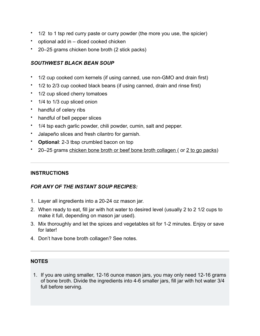- 1/2 to 1 tsp red curry paste or curry powder (the more you use, the spicier)
- optional add in diced cooked chicken
- 20–25 grams chicken bone broth (2 stick packs)

#### *SOUTHWEST BLACK BEAN SOUP*

- 1/2 cup cooked corn kernels (if using canned, use non-GMO and drain first)
- 1/2 to 2/3 cup cooked black beans (if using canned, drain and rinse first)
- 1/2 cup sliced cherry tomatoes
- 1/4 to 1/3 cup sliced onion
- handful of celery ribs
- handful of bell pepper slices
- 1/4 tsp each garlic powder, chili powder, cumin, salt and pepper.
- Jalapeño slices and fresh cilantro for garnish.
- **Optional:** 2-3 tbsp crumbled bacon on top
- 20–25 grams chicken bone broth or beef bone broth collagen ( or 2 to go packs)

#### **INSTRUCTIONS**

#### *FOR ANY OF THE INSTANT SOUP RECIPES:*

- 1. Layer all ingredients into a 20-24 oz mason jar.
- 2. When ready to eat, fill jar with hot water to desired level (usually 2 to 2 1/2 cups to make it full, depending on mason jar used).
- 3. Mix thoroughly and let the spices and vegetables sit for 1-2 minutes. Enjoy or save for later!
- 4. Don't have bone broth collagen? See notes.

#### **NOTES**

1. If you are using smaller, 12-16 ounce mason jars, you may only need 12-16 grams of bone broth. Divide the ingredients into 4-6 smaller jars, fill jar with hot water 3/4 full before serving.